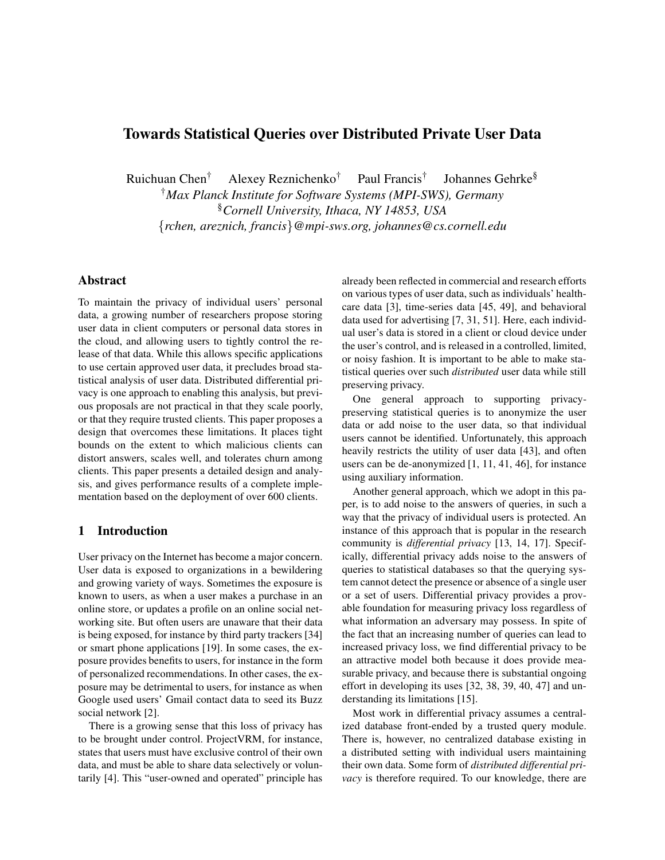# **Towards Statistical Queries over Distributed Private User Data**

Ruichuan Chen† Alexey Reznichenko† Paul Francis† Johannes Gehrke§

†*Max Planck Institute for Software Systems (MPI-SWS), Germany*

§*Cornell University, Ithaca, NY 14853, USA*

{*rchen, areznich, francis*}*@mpi-sws.org, johannes@cs.cornell.edu*

# **Abstract**

To maintain the privacy of individual users' personal data, a growing number of researchers propose storing user data in client computers or personal data stores in the cloud, and allowing users to tightly control the release of that data. While this allows specific applications to use certain approved user data, it precludes broad statistical analysis of user data. Distributed differential privacy is one approach to enabling this analysis, but previous proposals are not practical in that they scale poorly, or that they require trusted clients. This paper proposes a design that overcomes these limitations. It places tight bounds on the extent to which malicious clients can distort answers, scales well, and tolerates churn among clients. This paper presents a detailed design and analysis, and gives performance results of a complete implementation based on the deployment of over 600 clients.

# **1 Introduction**

User privacy on the Internet has become a major concern. User data is exposed to organizations in a bewildering and growing variety of ways. Sometimes the exposure is known to users, as when a user makes a purchase in an online store, or updates a profile on an online social networking site. But often users are unaware that their data is being exposed, for instance by third party trackers [34] or smart phone applications [19]. In some cases, the exposure provides benefits to users, for instance in the form of personalized recommendations. In other cases, the exposure may be detrimental to users, for instance as when Google used users' Gmail contact data to seed its Buzz social network [2].

There is a growing sense that this loss of privacy has to be brought under control. ProjectVRM, for instance, states that users must have exclusive control of their own data, and must be able to share data selectively or voluntarily [4]. This "user-owned and operated" principle has already been reflected in commercial and research efforts on various types of user data, such as individuals' healthcare data [3], time-series data [45, 49], and behavioral data used for advertising [7, 31, 51]. Here, each individual user's data is stored in a client or cloud device under the user's control, and is released in a controlled, limited, or noisy fashion. It is important to be able to make statistical queries over such *distributed* user data while still preserving privacy.

One general approach to supporting privacypreserving statistical queries is to anonymize the user data or add noise to the user data, so that individual users cannot be identified. Unfortunately, this approach heavily restricts the utility of user data [43], and often users can be de-anonymized [1, 11, 41, 46], for instance using auxiliary information.

Another general approach, which we adopt in this paper, is to add noise to the answers of queries, in such a way that the privacy of individual users is protected. An instance of this approach that is popular in the research community is *differential privacy* [13, 14, 17]. Specifically, differential privacy adds noise to the answers of queries to statistical databases so that the querying system cannot detect the presence or absence of a single user or a set of users. Differential privacy provides a provable foundation for measuring privacy loss regardless of what information an adversary may possess. In spite of the fact that an increasing number of queries can lead to increased privacy loss, we find differential privacy to be an attractive model both because it does provide measurable privacy, and because there is substantial ongoing effort in developing its uses [32, 38, 39, 40, 47] and understanding its limitations [15].

Most work in differential privacy assumes a centralized database front-ended by a trusted query module. There is, however, no centralized database existing in a distributed setting with individual users maintaining their own data. Some form of *distributed differential privacy* is therefore required. To our knowledge, there are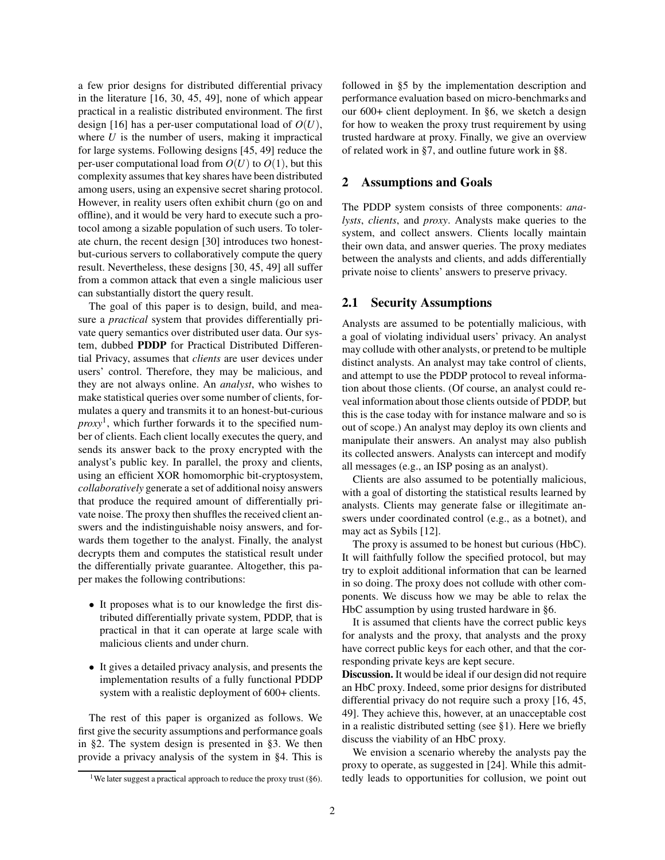a few prior designs for distributed differential privacy in the literature [16, 30, 45, 49], none of which appear practical in a realistic distributed environment. The first design [16] has a per-user computational load of *O*(*U*), where  $U$  is the number of users, making it impractical for large systems. Following designs [45, 49] reduce the per-user computational load from  $O(U)$  to  $O(1)$ , but this complexity assumes that key shares have been distributed among users, using an expensive secret sharing protocol. However, in reality users often exhibit churn (go on and offline), and it would be very hard to execute such a protocol among a sizable population of such users. To tolerate churn, the recent design [30] introduces two honestbut-curious servers to collaboratively compute the query result. Nevertheless, these designs [30, 45, 49] all suffer from a common attack that even a single malicious user can substantially distort the query result.

The goal of this paper is to design, build, and measure a *practical* system that provides differentially private query semantics over distributed user data. Our system, dubbed **PDDP** for Practical Distributed Differential Privacy, assumes that *clients* are user devices under users' control. Therefore, they may be malicious, and they are not always online. An *analyst*, who wishes to make statistical queries over some number of clients, formulates a query and transmits it to an honest-but-curious *proxy*<sup>1</sup> , which further forwards it to the specified number of clients. Each client locally executes the query, and sends its answer back to the proxy encrypted with the analyst's public key. In parallel, the proxy and clients, using an efficient XOR homomorphic bit-cryptosystem, *collaboratively* generate a set of additional noisy answers that produce the required amount of differentially private noise. The proxy then shuffles the received client answers and the indistinguishable noisy answers, and forwards them together to the analyst. Finally, the analyst decrypts them and computes the statistical result under the differentially private guarantee. Altogether, this paper makes the following contributions:

- It proposes what is to our knowledge the first distributed differentially private system, PDDP, that is practical in that it can operate at large scale with malicious clients and under churn.
- It gives a detailed privacy analysis, and presents the implementation results of a fully functional PDDP system with a realistic deployment of 600+ clients.

The rest of this paper is organized as follows. We first give the security assumptions and performance goals in §2. The system design is presented in §3. We then provide a privacy analysis of the system in §4. This is followed in §5 by the implementation description and performance evaluation based on micro-benchmarks and our 600+ client deployment. In §6, we sketch a design for how to weaken the proxy trust requirement by using trusted hardware at proxy. Finally, we give an overview of related work in §7, and outline future work in §8.

#### **2 Assumptions and Goals**

The PDDP system consists of three components: *analysts*, *clients*, and *proxy*. Analysts make queries to the system, and collect answers. Clients locally maintain their own data, and answer queries. The proxy mediates between the analysts and clients, and adds differentially private noise to clients' answers to preserve privacy.

#### **2.1 Security Assumptions**

Analysts are assumed to be potentially malicious, with a goal of violating individual users' privacy. An analyst may collude with other analysts, or pretend to be multiple distinct analysts. An analyst may take control of clients, and attempt to use the PDDP protocol to reveal information about those clients. (Of course, an analyst could reveal information about those clients outside of PDDP, but this is the case today with for instance malware and so is out of scope.) An analyst may deploy its own clients and manipulate their answers. An analyst may also publish its collected answers. Analysts can intercept and modify all messages (e.g., an ISP posing as an analyst).

Clients are also assumed to be potentially malicious, with a goal of distorting the statistical results learned by analysts. Clients may generate false or illegitimate answers under coordinated control (e.g., as a botnet), and may act as Sybils [12].

The proxy is assumed to be honest but curious (HbC). It will faithfully follow the specified protocol, but may try to exploit additional information that can be learned in so doing. The proxy does not collude with other components. We discuss how we may be able to relax the HbC assumption by using trusted hardware in §6.

It is assumed that clients have the correct public keys for analysts and the proxy, that analysts and the proxy have correct public keys for each other, and that the corresponding private keys are kept secure.

**Discussion.** It would be ideal if our design did not require an HbC proxy. Indeed, some prior designs for distributed differential privacy do not require such a proxy [16, 45, 49]. They achieve this, however, at an unacceptable cost in a realistic distributed setting (see §1). Here we briefly discuss the viability of an HbC proxy.

We envision a scenario whereby the analysts pay the proxy to operate, as suggested in [24]. While this admittedly leads to opportunities for collusion, we point out

<sup>&</sup>lt;sup>1</sup>We later suggest a practical approach to reduce the proxy trust ( $§6$ ).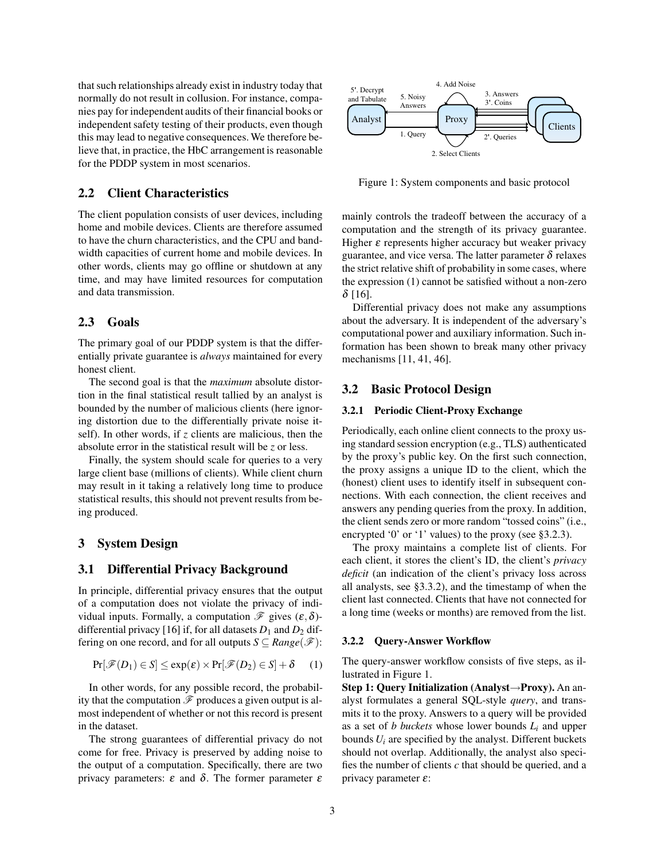that such relationships already exist in industry today that normally do not result in collusion. For instance, companies pay for independent audits of their financial books or independent safety testing of their products, even though this may lead to negative consequences. We therefore believe that, in practice, the HbC arrangement is reasonable for the PDDP system in most scenarios.

## **2.2 Client Characteristics**

The client population consists of user devices, including home and mobile devices. Clients are therefore assumed to have the churn characteristics, and the CPU and bandwidth capacities of current home and mobile devices. In other words, clients may go offline or shutdown at any time, and may have limited resources for computation and data transmission.

## **2.3 Goals**

The primary goal of our PDDP system is that the differentially private guarantee is *always* maintained for every honest client.

The second goal is that the *maximum* absolute distortion in the final statistical result tallied by an analyst is bounded by the number of malicious clients (here ignoring distortion due to the differentially private noise itself). In other words, if *z* clients are malicious, then the absolute error in the statistical result will be *z* or less.

Finally, the system should scale for queries to a very large client base (millions of clients). While client churn may result in it taking a relatively long time to produce statistical results, this should not prevent results from being produced.

# **3 System Design**

#### **3.1 Differential Privacy Background**

In principle, differential privacy ensures that the output of a computation does not violate the privacy of individual inputs. Formally, a computation  $\mathscr F$  gives  $(\varepsilon, \delta)$ differential privacy [16] if, for all datasets  $D_1$  and  $D_2$  differing on one record, and for all outputs  $S \subseteq Range(\mathcal{F})$ :

$$
Pr[\mathscr{F}(D_1) \in S] \leq exp(\varepsilon) \times Pr[\mathscr{F}(D_2) \in S] + \delta \qquad (1)
$$

In other words, for any possible record, the probability that the computation  $\mathscr F$  produces a given output is almost independent of whether or not this record is present in the dataset.

The strong guarantees of differential privacy do not come for free. Privacy is preserved by adding noise to the output of a computation. Specifically, there are two privacy parameters: ε and δ. The former parameter ε



Figure 1: System components and basic protocol

mainly controls the tradeoff between the accuracy of a computation and the strength of its privacy guarantee. Higher  $\varepsilon$  represents higher accuracy but weaker privacy guarantee, and vice versa. The latter parameter  $\delta$  relaxes the strict relative shift of probability in some cases, where the expression (1) cannot be satisfied without a non-zero  $δ$  [16].

Differential privacy does not make any assumptions about the adversary. It is independent of the adversary's computational power and auxiliary information. Such information has been shown to break many other privacy mechanisms [11, 41, 46].

#### **3.2 Basic Protocol Design**

## **3.2.1 Periodic Client-Proxy Exchange**

Periodically, each online client connects to the proxy using standard session encryption (e.g., TLS) authenticated by the proxy's public key. On the first such connection, the proxy assigns a unique ID to the client, which the (honest) client uses to identify itself in subsequent connections. With each connection, the client receives and answers any pending queries from the proxy. In addition, the client sends zero or more random "tossed coins" (i.e., encrypted '0' or '1' values) to the proxy (see §3.2.3).

The proxy maintains a complete list of clients. For each client, it stores the client's ID, the client's *privacy deficit* (an indication of the client's privacy loss across all analysts, see §3.3.2), and the timestamp of when the client last connected. Clients that have not connected for a long time (weeks or months) are removed from the list.

#### **3.2.2 Query-Answer Workflow**

The query-answer workflow consists of five steps, as illustrated in Figure 1.

**Step 1: Query Initialization (Analyst**→**Proxy).** An analyst formulates a general SQL-style *query*, and transmits it to the proxy. Answers to a query will be provided as a set of *b buckets* whose lower bounds *L<sup>i</sup>* and upper bounds  $U_i$  are specified by the analyst. Different buckets should not overlap. Additionally, the analyst also specifies the number of clients *c* that should be queried, and a privacy parameter  $\varepsilon$ :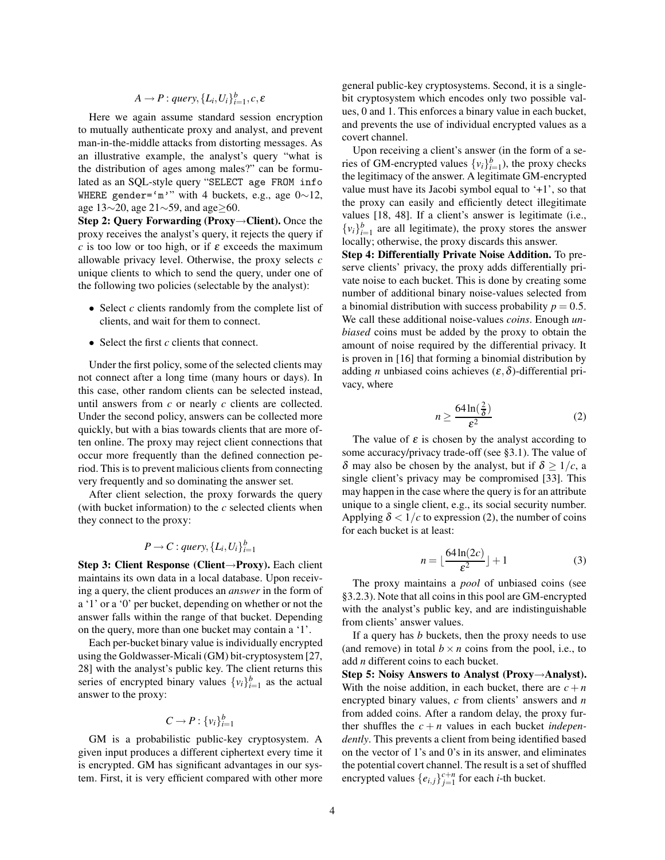$$
A \rightarrow P : query, \{L_i, U_i\}_{i=1}^b, c, \varepsilon
$$

Here we again assume standard session encryption to mutually authenticate proxy and analyst, and prevent man-in-the-middle attacks from distorting messages. As an illustrative example, the analyst's query "what is the distribution of ages among males?" can be formulated as an SQL-style query "SELECT age FROM info WHERE gender='m'" with 4 buckets, e.g., age 0∼12, age 13∼20, age 21∼59, and age≥60.

**Step 2: Query Forwarding (Proxy**→**Client).** Once the proxy receives the analyst's query, it rejects the query if *c* is too low or too high, or if  $\varepsilon$  exceeds the maximum allowable privacy level. Otherwise, the proxy selects *c* unique clients to which to send the query, under one of the following two policies (selectable by the analyst):

- Select *c* clients randomly from the complete list of clients, and wait for them to connect.
- Select the first *c* clients that connect.

Under the first policy, some of the selected clients may not connect after a long time (many hours or days). In this case, other random clients can be selected instead, until answers from *c* or nearly *c* clients are collected. Under the second policy, answers can be collected more quickly, but with a bias towards clients that are more often online. The proxy may reject client connections that occur more frequently than the defined connection period. This is to prevent malicious clients from connecting very frequently and so dominating the answer set.

After client selection, the proxy forwards the query (with bucket information) to the *c* selected clients when they connect to the proxy:

# $P \rightarrow C$ : *query*,  $\{L_i, U_i\}_{i=1}^b$

**Step 3: Client Response (Client**→**Proxy).** Each client maintains its own data in a local database. Upon receiving a query, the client produces an *answer* in the form of a '1' or a '0' per bucket, depending on whether or not the answer falls within the range of that bucket. Depending on the query, more than one bucket may contain a '1'.

Each per-bucket binary value is individually encrypted using the Goldwasser-Micali (GM) bit-cryptosystem [27, 28] with the analyst's public key. The client returns this series of encrypted binary values  $\{v_i\}_{i=1}^b$  as the actual answer to the proxy:

# $C \to P : \{v_i\}_{i=1}^b$

GM is a probabilistic public-key cryptosystem. A given input produces a different ciphertext every time it is encrypted. GM has significant advantages in our system. First, it is very efficient compared with other more general public-key cryptosystems. Second, it is a singlebit cryptosystem which encodes only two possible values, 0 and 1. This enforces a binary value in each bucket, and prevents the use of individual encrypted values as a covert channel.

Upon receiving a client's answer (in the form of a series of GM-encrypted values  $\{v_i\}_{i=1}^b$ , the proxy checks the legitimacy of the answer. A legitimate GM-encrypted value must have its Jacobi symbol equal to '+1', so that the proxy can easily and efficiently detect illegitimate values [18, 48]. If a client's answer is legitimate (i.e.,  ${v_i}_{i=1}^b$  are all legitimate), the proxy stores the answer locally; otherwise, the proxy discards this answer.

**Step 4: Differentially Private Noise Addition.** To preserve clients' privacy, the proxy adds differentially private noise to each bucket. This is done by creating some number of additional binary noise-values selected from a binomial distribution with success probability  $p = 0.5$ . We call these additional noise-values *coins*. Enough *unbiased* coins must be added by the proxy to obtain the amount of noise required by the differential privacy. It is proven in [16] that forming a binomial distribution by adding *n* unbiased coins achieves  $(\varepsilon, \delta)$ -differential privacy, where

$$
n \ge \frac{64\ln(\frac{2}{\delta})}{\varepsilon^2} \tag{2}
$$

The value of  $\varepsilon$  is chosen by the analyst according to some accuracy/privacy trade-off (see §3.1). The value of δ may also be chosen by the analyst, but if  $\delta \geq 1/c$ , a single client's privacy may be compromised [33]. This may happen in the case where the query is for an attribute unique to a single client, e.g., its social security number. Applying  $\delta < 1/c$  to expression (2), the number of coins for each bucket is at least:

$$
n = \lfloor \frac{64\ln(2c)}{\varepsilon^2} \rfloor + 1\tag{3}
$$

The proxy maintains a *pool* of unbiased coins (see §3.2.3). Note that all coins in this pool are GM-encrypted with the analyst's public key, and are indistinguishable from clients' answer values.

If a query has *b* buckets, then the proxy needs to use (and remove) in total  $b \times n$  coins from the pool, i.e., to add *n* different coins to each bucket.

**Step 5: Noisy Answers to Analyst (Proxy**→**Analyst).** With the noise addition, in each bucket, there are  $c + n$ encrypted binary values, *c* from clients' answers and *n* from added coins. After a random delay, the proxy further shuffles the  $c + n$  values in each bucket *independently*. This prevents a client from being identified based on the vector of 1's and 0's in its answer, and eliminates the potential covert channel. The result is a set of shuffled encrypted values  $\{e_{i,j}\}_{j=1}^{c+n}$  for each *i*-th bucket.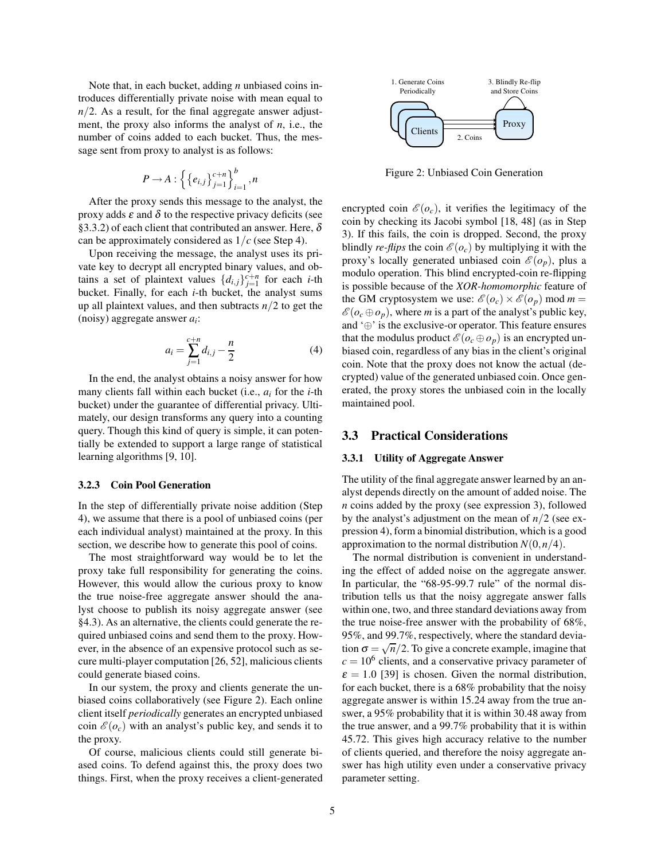Note that, in each bucket, adding *n* unbiased coins introduces differentially private noise with mean equal to  $n/2$ . As a result, for the final aggregate answer adjustment, the proxy also informs the analyst of *n*, i.e., the number of coins added to each bucket. Thus, the message sent from proxy to analyst is as follows:

$$
P \rightarrow A: \left\{ \left\{ e_{i,j} \right\}_{j=1}^{c+n} \right\}_{i=1}^{b}, n
$$

After the proxy sends this message to the analyst, the proxy adds  $\varepsilon$  and  $\delta$  to the respective privacy deficits (see §3.3.2) of each client that contributed an answer. Here,  $\delta$ can be approximately considered as 1/*c* (see Step 4).

Upon receiving the message, the analyst uses its private key to decrypt all encrypted binary values, and obtains a set of plaintext values  $\{d_{i,j}\}_{j=1}^{c+n}$  for each *i*-th bucket. Finally, for each *i*-th bucket, the analyst sums up all plaintext values, and then subtracts *n*/2 to get the (noisy) aggregate answer *a<sup>i</sup>* :

$$
a_i = \sum_{j=1}^{c+n} d_{i,j} - \frac{n}{2}
$$
 (4)

In the end, the analyst obtains a noisy answer for how many clients fall within each bucket (i.e., *a<sup>i</sup>* for the *i*-th bucket) under the guarantee of differential privacy. Ultimately, our design transforms any query into a counting query. Though this kind of query is simple, it can potentially be extended to support a large range of statistical learning algorithms [9, 10].

#### **3.2.3 Coin Pool Generation**

In the step of differentially private noise addition (Step 4), we assume that there is a pool of unbiased coins (per each individual analyst) maintained at the proxy. In this section, we describe how to generate this pool of coins.

The most straightforward way would be to let the proxy take full responsibility for generating the coins. However, this would allow the curious proxy to know the true noise-free aggregate answer should the analyst choose to publish its noisy aggregate answer (see §4.3). As an alternative, the clients could generate the required unbiased coins and send them to the proxy. However, in the absence of an expensive protocol such as secure multi-player computation [26, 52], malicious clients could generate biased coins.

In our system, the proxy and clients generate the unbiased coins collaboratively (see Figure 2). Each online client itself *periodically* generates an encrypted unbiased coin  $\mathcal{E}(o_c)$  with an analyst's public key, and sends it to the proxy.

Of course, malicious clients could still generate biased coins. To defend against this, the proxy does two things. First, when the proxy receives a client-generated



Figure 2: Unbiased Coin Generation

encrypted coin  $\mathcal{E}(o_c)$ , it verifies the legitimacy of the coin by checking its Jacobi symbol [18, 48] (as in Step 3). If this fails, the coin is dropped. Second, the proxy blindly *re-flips* the coin  $\mathcal{E}(o_c)$  by multiplying it with the proxy's locally generated unbiased coin  $\mathcal{E}(o_p)$ , plus a modulo operation. This blind encrypted-coin re-flipping is possible because of the *XOR-homomorphic* feature of the GM cryptosystem we use:  $\mathcal{E}(o_c) \times \mathcal{E}(o_p)$  mod *m* =  $\mathscr{E}(o_c \oplus o_p)$ , where *m* is a part of the analyst's public key, and '⊕' is the exclusive-or operator. This feature ensures that the modulus product  $\mathcal{E}(o_c \oplus o_p)$  is an encrypted unbiased coin, regardless of any bias in the client's original coin. Note that the proxy does not know the actual (decrypted) value of the generated unbiased coin. Once generated, the proxy stores the unbiased coin in the locally maintained pool.

# **3.3 Practical Considerations**

#### **3.3.1 Utility of Aggregate Answer**

The utility of the final aggregate answer learned by an analyst depends directly on the amount of added noise. The *n* coins added by the proxy (see expression 3), followed by the analyst's adjustment on the mean of *n*/2 (see expression 4), form a binomial distribution, which is a good approximation to the normal distribution  $N(0, n/4)$ .

The normal distribution is convenient in understanding the effect of added noise on the aggregate answer. In particular, the "68-95-99.7 rule" of the normal distribution tells us that the noisy aggregate answer falls within one, two, and three standard deviations away from the true noise-free answer with the probability of 68%, 95%, and 99.7%, respectively, where the standard deviation  $\sigma = \sqrt{n}/2$ . To give a concrete example, imagine that  $c = 10<sup>6</sup>$  clients, and a conservative privacy parameter of  $\epsilon = 1.0$  [39] is chosen. Given the normal distribution, for each bucket, there is a 68% probability that the noisy aggregate answer is within 15.24 away from the true answer, a 95% probability that it is within 30.48 away from the true answer, and a 99.7% probability that it is within 45.72. This gives high accuracy relative to the number of clients queried, and therefore the noisy aggregate answer has high utility even under a conservative privacy parameter setting.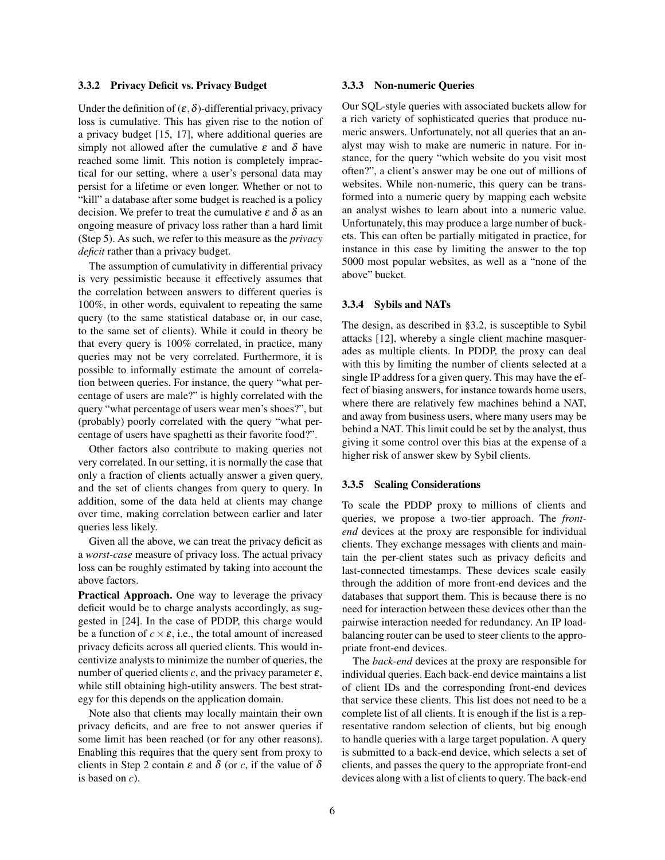#### **3.3.2 Privacy Deficit vs. Privacy Budget**

Under the definition of  $(\varepsilon, \delta)$ -differential privacy, privacy loss is cumulative. This has given rise to the notion of a privacy budget [15, 17], where additional queries are simply not allowed after the cumulative  $\varepsilon$  and  $\delta$  have reached some limit. This notion is completely impractical for our setting, where a user's personal data may persist for a lifetime or even longer. Whether or not to "kill" a database after some budget is reached is a policy decision. We prefer to treat the cumulative  $\varepsilon$  and  $\delta$  as an ongoing measure of privacy loss rather than a hard limit (Step 5). As such, we refer to this measure as the *privacy deficit* rather than a privacy budget.

The assumption of cumulativity in differential privacy is very pessimistic because it effectively assumes that the correlation between answers to different queries is 100%, in other words, equivalent to repeating the same query (to the same statistical database or, in our case, to the same set of clients). While it could in theory be that every query is 100% correlated, in practice, many queries may not be very correlated. Furthermore, it is possible to informally estimate the amount of correlation between queries. For instance, the query "what percentage of users are male?" is highly correlated with the query "what percentage of users wear men's shoes?", but (probably) poorly correlated with the query "what percentage of users have spaghetti as their favorite food?".

Other factors also contribute to making queries not very correlated. In our setting, it is normally the case that only a fraction of clients actually answer a given query, and the set of clients changes from query to query. In addition, some of the data held at clients may change over time, making correlation between earlier and later queries less likely.

Given all the above, we can treat the privacy deficit as a *worst-case* measure of privacy loss. The actual privacy loss can be roughly estimated by taking into account the above factors.

**Practical Approach.** One way to leverage the privacy deficit would be to charge analysts accordingly, as suggested in [24]. In the case of PDDP, this charge would be a function of  $c \times \varepsilon$ , i.e., the total amount of increased privacy deficits across all queried clients. This would incentivize analysts to minimize the number of queries, the number of queried clients  $c$ , and the privacy parameter  $\varepsilon$ , while still obtaining high-utility answers. The best strategy for this depends on the application domain.

Note also that clients may locally maintain their own privacy deficits, and are free to not answer queries if some limit has been reached (or for any other reasons). Enabling this requires that the query sent from proxy to clients in Step 2 contain  $\varepsilon$  and  $\delta$  (or *c*, if the value of  $\delta$ is based on *c*).

#### **3.3.3 Non-numeric Queries**

Our SQL-style queries with associated buckets allow for a rich variety of sophisticated queries that produce numeric answers. Unfortunately, not all queries that an analyst may wish to make are numeric in nature. For instance, for the query "which website do you visit most often?", a client's answer may be one out of millions of websites. While non-numeric, this query can be transformed into a numeric query by mapping each website an analyst wishes to learn about into a numeric value. Unfortunately, this may produce a large number of buckets. This can often be partially mitigated in practice, for instance in this case by limiting the answer to the top 5000 most popular websites, as well as a "none of the above" bucket.

#### **3.3.4 Sybils and NATs**

The design, as described in §3.2, is susceptible to Sybil attacks [12], whereby a single client machine masquerades as multiple clients. In PDDP, the proxy can deal with this by limiting the number of clients selected at a single IP address for a given query. This may have the effect of biasing answers, for instance towards home users, where there are relatively few machines behind a NAT, and away from business users, where many users may be behind a NAT. This limit could be set by the analyst, thus giving it some control over this bias at the expense of a higher risk of answer skew by Sybil clients.

#### **3.3.5 Scaling Considerations**

To scale the PDDP proxy to millions of clients and queries, we propose a two-tier approach. The *frontend* devices at the proxy are responsible for individual clients. They exchange messages with clients and maintain the per-client states such as privacy deficits and last-connected timestamps. These devices scale easily through the addition of more front-end devices and the databases that support them. This is because there is no need for interaction between these devices other than the pairwise interaction needed for redundancy. An IP loadbalancing router can be used to steer clients to the appropriate front-end devices.

The *back-end* devices at the proxy are responsible for individual queries. Each back-end device maintains a list of client IDs and the corresponding front-end devices that service these clients. This list does not need to be a complete list of all clients. It is enough if the list is a representative random selection of clients, but big enough to handle queries with a large target population. A query is submitted to a back-end device, which selects a set of clients, and passes the query to the appropriate front-end devices along with a list of clients to query. The back-end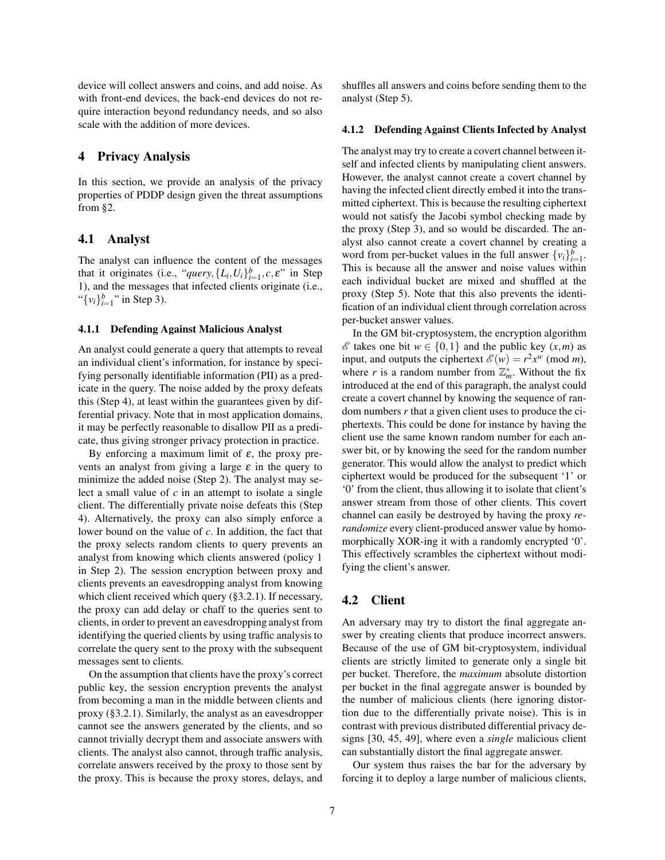device will collect answers and coins, and add noise. As with front-end devices, the back-end devices do not require interaction beyond redundancy needs, and so also scale with the addition of more devices.

## **4 Privacy Analysis**

In this section, we provide an analysis of the privacy properties of PDDP design given the threat assumptions from §2.

### **4.1 Analyst**

The analyst can influence the content of the messages that it originates (i.e., "*query*,  $\{L_i, U_i\}_{i=1}^b, c, \varepsilon$ " in Step 1), and the messages that infected clients originate (i.e., " $\{v_i\}_{i=1}^b$ " in Step 3).

#### **4.1.1 Defending Against Malicious Analyst**

An analyst could generate a query that attempts to reveal an individual client's information, for instance by specifying personally identifiable information (PII) as a predicate in the query. The noise added by the proxy defeats this (Step 4), at least within the guarantees given by differential privacy. Note that in most application domains, it may be perfectly reasonable to disallow PII as a predicate, thus giving stronger privacy protection in practice.

By enforcing a maximum limit of  $\varepsilon$ , the proxy prevents an analyst from giving a large  $\varepsilon$  in the query to minimize the added noise (Step 2). The analyst may select a small value of *c* in an attempt to isolate a single client. The differentially private noise defeats this (Step 4). Alternatively, the proxy can also simply enforce a lower bound on the value of *c*. In addition, the fact that the proxy selects random clients to query prevents an analyst from knowing which clients answered (policy 1 in Step 2). The session encryption between proxy and clients prevents an eavesdropping analyst from knowing which client received which query (§3.2.1). If necessary, the proxy can add delay or chaff to the queries sent to clients, in order to prevent an eavesdropping analyst from identifying the queried clients by using traffic analysis to correlate the query sent to the proxy with the subsequent messages sent to clients.

On the assumption that clients have the proxy's correct public key, the session encryption prevents the analyst from becoming a man in the middle between clients and proxy (§3.2.1). Similarly, the analyst as an eavesdropper cannot see the answers generated by the clients, and so cannot trivially decrypt them and associate answers with clients. The analyst also cannot, through traffic analysis, correlate answers received by the proxy to those sent by the proxy. This is because the proxy stores, delays, and shuffles all answers and coins before sending them to the analyst (Step 5).

#### **4.1.2 Defending Against Clients Infected by Analyst**

The analyst may try to create a covert channel between itself and infected clients by manipulating client answers. However, the analyst cannot create a covert channel by having the infected client directly embed it into the transmitted ciphertext. This is because the resulting ciphertext would not satisfy the Jacobi symbol checking made by the proxy (Step 3), and so would be discarded. The analyst also cannot create a covert channel by creating a word from per-bucket values in the full answer  $\{v_i\}_{i=1}^b$ . This is because all the answer and noise values within each individual bucket are mixed and shuffled at the proxy (Step 5). Note that this also prevents the identification of an individual client through correlation across per-bucket answer values.

In the GM bit-cryptosystem, the encryption algorithm *€* takes one bit *w* ∈ {0,1} and the public key  $(x, m)$  as input, and outputs the ciphertext  $\mathscr{E}(w) = r^2 x^w \pmod{m}$ , where *r* is a random number from  $\mathbb{Z}_m^*$ . Without the fix introduced at the end of this paragraph, the analyst could create a covert channel by knowing the sequence of random numbers *r* that a given client uses to produce the ciphertexts. This could be done for instance by having the client use the same known random number for each answer bit, or by knowing the seed for the random number generator. This would allow the analyst to predict which ciphertext would be produced for the subsequent '1' or '0' from the client, thus allowing it to isolate that client's answer stream from those of other clients. This covert channel can easily be destroyed by having the proxy *rerandomize* every client-produced answer value by homomorphically XOR-ing it with a randomly encrypted '0'. This effectively scrambles the ciphertext without modifying the client's answer.

### **4.2 Client**

An adversary may try to distort the final aggregate answer by creating clients that produce incorrect answers. Because of the use of GM bit-cryptosystem, individual clients are strictly limited to generate only a single bit per bucket. Therefore, the *maximum* absolute distortion per bucket in the final aggregate answer is bounded by the number of malicious clients (here ignoring distortion due to the differentially private noise). This is in contrast with previous distributed differential privacy designs [30, 45, 49], where even a *single* malicious client can substantially distort the final aggregate answer.

Our system thus raises the bar for the adversary by forcing it to deploy a large number of malicious clients,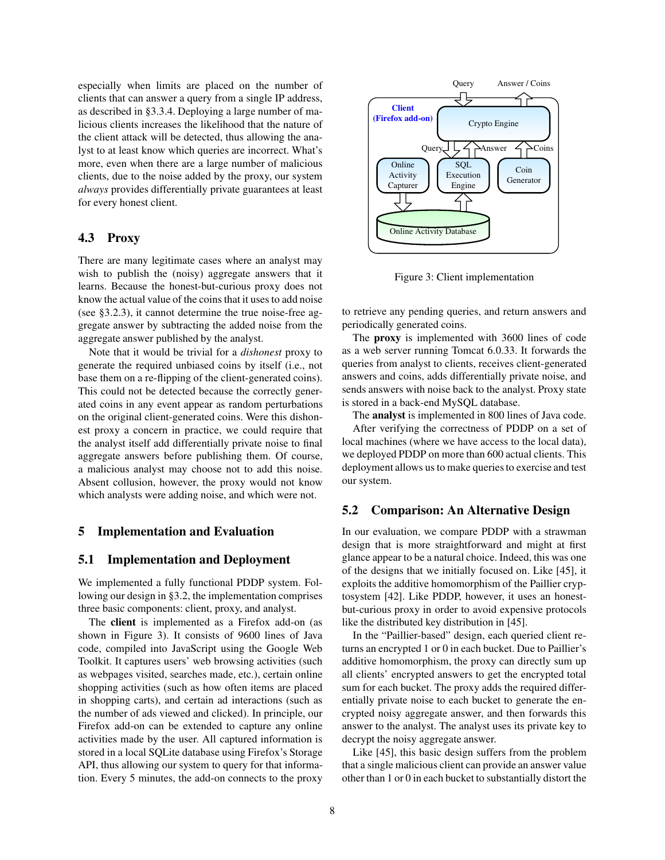especially when limits are placed on the number of clients that can answer a query from a single IP address, as described in §3.3.4. Deploying a large number of malicious clients increases the likelihood that the nature of the client attack will be detected, thus allowing the analyst to at least know which queries are incorrect. What's more, even when there are a large number of malicious clients, due to the noise added by the proxy, our system *always* provides differentially private guarantees at least for every honest client.

## **4.3 Proxy**

There are many legitimate cases where an analyst may wish to publish the (noisy) aggregate answers that it learns. Because the honest-but-curious proxy does not know the actual value of the coins that it uses to add noise (see §3.2.3), it cannot determine the true noise-free aggregate answer by subtracting the added noise from the aggregate answer published by the analyst.

Note that it would be trivial for a *dishonest* proxy to generate the required unbiased coins by itself (i.e., not base them on a re-flipping of the client-generated coins). This could not be detected because the correctly generated coins in any event appear as random perturbations on the original client-generated coins. Were this dishonest proxy a concern in practice, we could require that the analyst itself add differentially private noise to final aggregate answers before publishing them. Of course, a malicious analyst may choose not to add this noise. Absent collusion, however, the proxy would not know which analysts were adding noise, and which were not.

## **5 Implementation and Evaluation**

### **5.1 Implementation and Deployment**

We implemented a fully functional PDDP system. Following our design in §3.2, the implementation comprises three basic components: client, proxy, and analyst.

The **client** is implemented as a Firefox add-on (as shown in Figure 3). It consists of 9600 lines of Java code, compiled into JavaScript using the Google Web Toolkit. It captures users' web browsing activities (such as webpages visited, searches made, etc.), certain online shopping activities (such as how often items are placed in shopping carts), and certain ad interactions (such as the number of ads viewed and clicked). In principle, our Firefox add-on can be extended to capture any online activities made by the user. All captured information is stored in a local SQLite database using Firefox's Storage API, thus allowing our system to query for that information. Every 5 minutes, the add-on connects to the proxy



Figure 3: Client implementation

to retrieve any pending queries, and return answers and periodically generated coins.

The **proxy** is implemented with 3600 lines of code as a web server running Tomcat 6.0.33. It forwards the queries from analyst to clients, receives client-generated answers and coins, adds differentially private noise, and sends answers with noise back to the analyst. Proxy state is stored in a back-end MySQL database.

The **analyst** is implemented in 800 lines of Java code. After verifying the correctness of PDDP on a set of local machines (where we have access to the local data), we deployed PDDP on more than 600 actual clients. This deployment allows us to make queries to exercise and test our system.

## **5.2 Comparison: An Alternative Design**

In our evaluation, we compare PDDP with a strawman design that is more straightforward and might at first glance appear to be a natural choice. Indeed, this was one of the designs that we initially focused on. Like [45], it exploits the additive homomorphism of the Paillier cryptosystem [42]. Like PDDP, however, it uses an honestbut-curious proxy in order to avoid expensive protocols like the distributed key distribution in [45].

In the "Paillier-based" design, each queried client returns an encrypted 1 or 0 in each bucket. Due to Paillier's additive homomorphism, the proxy can directly sum up all clients' encrypted answers to get the encrypted total sum for each bucket. The proxy adds the required differentially private noise to each bucket to generate the encrypted noisy aggregate answer, and then forwards this answer to the analyst. The analyst uses its private key to decrypt the noisy aggregate answer.

Like [45], this basic design suffers from the problem that a single malicious client can provide an answer value other than 1 or 0 in each bucket to substantially distort the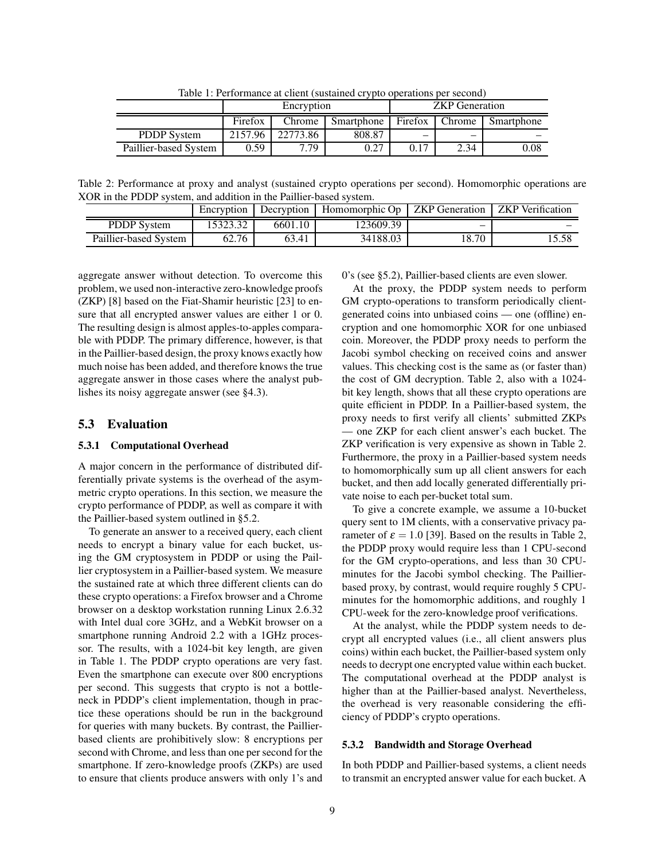Encryption **ZKP** Generation Firefox Chrome Smartphone Firefox Chrome Smartphone PDDP System | 2157.96 | 22773.86 | 808.87 Paillier-based System 0.59 7.79 0.27 0.17 2.34 0.08

Table 1: Performance at client (sustained crypto operations per second)

Table 2: Performance at proxy and analyst (sustained crypto operations per second). Homomorphic operations are XOR in the PDDP system, and addition in the Paillier-based system.

|                       | Encryption | Decryption | Homomorphic Op | <b>ZKP</b> Generation | <b>ZKP</b> Verification |
|-----------------------|------------|------------|----------------|-----------------------|-------------------------|
| <b>PDDP</b> System    | 5323.32    | 6601.10    | 123609.39      | -                     |                         |
| Paillier-based System | 62.76      | 63.41      | 34188.03       | 18.70                 | 5.58                    |

aggregate answer without detection. To overcome this problem, we used non-interactive zero-knowledge proofs (ZKP) [8] based on the Fiat-Shamir heuristic [23] to ensure that all encrypted answer values are either 1 or 0. The resulting design is almost apples-to-apples comparable with PDDP. The primary difference, however, is that in the Paillier-based design, the proxy knows exactly how much noise has been added, and therefore knows the true aggregate answer in those cases where the analyst publishes its noisy aggregate answer (see §4.3).

### **5.3 Evaluation**

#### **5.3.1 Computational Overhead**

A major concern in the performance of distributed differentially private systems is the overhead of the asymmetric crypto operations. In this section, we measure the crypto performance of PDDP, as well as compare it with the Paillier-based system outlined in §5.2.

To generate an answer to a received query, each client needs to encrypt a binary value for each bucket, using the GM cryptosystem in PDDP or using the Paillier cryptosystem in a Paillier-based system. We measure the sustained rate at which three different clients can do these crypto operations: a Firefox browser and a Chrome browser on a desktop workstation running Linux 2.6.32 with Intel dual core 3GHz, and a WebKit browser on a smartphone running Android 2.2 with a 1GHz processor. The results, with a 1024-bit key length, are given in Table 1. The PDDP crypto operations are very fast. Even the smartphone can execute over 800 encryptions per second. This suggests that crypto is not a bottleneck in PDDP's client implementation, though in practice these operations should be run in the background for queries with many buckets. By contrast, the Paillierbased clients are prohibitively slow: 8 encryptions per second with Chrome, and less than one per second for the smartphone. If zero-knowledge proofs (ZKPs) are used to ensure that clients produce answers with only 1's and 0's (see §5.2), Paillier-based clients are even slower.

At the proxy, the PDDP system needs to perform GM crypto-operations to transform periodically clientgenerated coins into unbiased coins — one (offline) encryption and one homomorphic XOR for one unbiased coin. Moreover, the PDDP proxy needs to perform the Jacobi symbol checking on received coins and answer values. This checking cost is the same as (or faster than) the cost of GM decryption. Table 2, also with a 1024 bit key length, shows that all these crypto operations are quite efficient in PDDP. In a Paillier-based system, the proxy needs to first verify all clients' submitted ZKPs — one ZKP for each client answer's each bucket. The ZKP verification is very expensive as shown in Table 2. Furthermore, the proxy in a Paillier-based system needs to homomorphically sum up all client answers for each bucket, and then add locally generated differentially private noise to each per-bucket total sum.

To give a concrete example, we assume a 10-bucket query sent to 1M clients, with a conservative privacy parameter of  $\varepsilon = 1.0$  [39]. Based on the results in Table 2, the PDDP proxy would require less than 1 CPU-second for the GM crypto-operations, and less than 30 CPUminutes for the Jacobi symbol checking. The Paillierbased proxy, by contrast, would require roughly 5 CPUminutes for the homomorphic additions, and roughly 1 CPU-week for the zero-knowledge proof verifications.

At the analyst, while the PDDP system needs to decrypt all encrypted values (i.e., all client answers plus coins) within each bucket, the Paillier-based system only needs to decrypt one encrypted value within each bucket. The computational overhead at the PDDP analyst is higher than at the Paillier-based analyst. Nevertheless, the overhead is very reasonable considering the efficiency of PDDP's crypto operations.

#### **5.3.2 Bandwidth and Storage Overhead**

In both PDDP and Paillier-based systems, a client needs to transmit an encrypted answer value for each bucket. A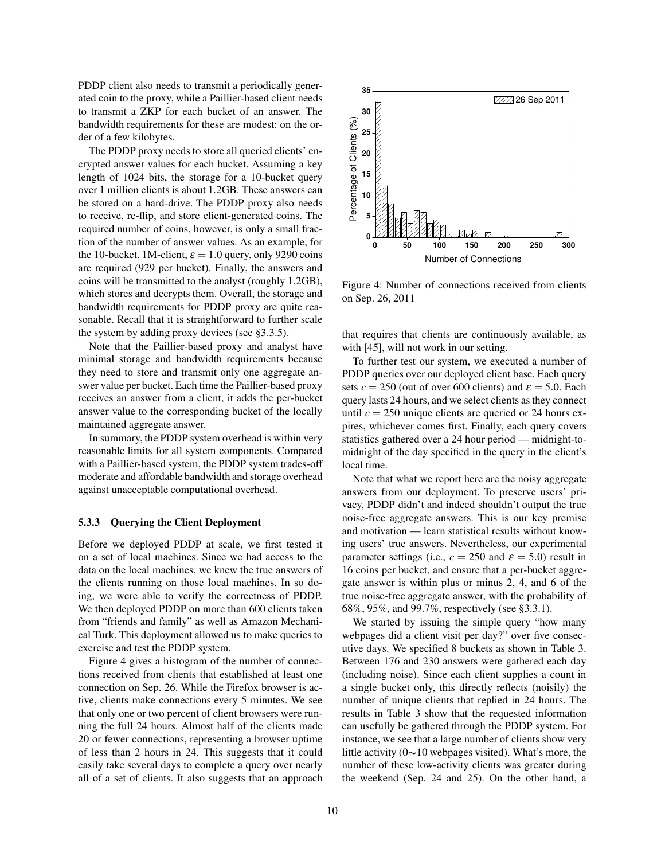PDDP client also needs to transmit a periodically generated coin to the proxy, while a Paillier-based client needs to transmit a ZKP for each bucket of an answer. The bandwidth requirements for these are modest: on the order of a few kilobytes.

The PDDP proxy needs to store all queried clients' encrypted answer values for each bucket. Assuming a key length of 1024 bits, the storage for a 10-bucket query over 1 million clients is about 1.2GB. These answers can be stored on a hard-drive. The PDDP proxy also needs to receive, re-flip, and store client-generated coins. The required number of coins, however, is only a small fraction of the number of answer values. As an example, for the 10-bucket, 1M-client,  $\varepsilon = 1.0$  query, only 9290 coins are required (929 per bucket). Finally, the answers and coins will be transmitted to the analyst (roughly 1.2GB), which stores and decrypts them. Overall, the storage and bandwidth requirements for PDDP proxy are quite reasonable. Recall that it is straightforward to further scale the system by adding proxy devices (see §3.3.5).

Note that the Paillier-based proxy and analyst have minimal storage and bandwidth requirements because they need to store and transmit only one aggregate answer value per bucket. Each time the Paillier-based proxy receives an answer from a client, it adds the per-bucket answer value to the corresponding bucket of the locally maintained aggregate answer.

In summary, the PDDP system overhead is within very reasonable limits for all system components. Compared with a Paillier-based system, the PDDP system trades-off moderate and affordable bandwidth and storage overhead against unacceptable computational overhead.

#### **5.3.3 Querying the Client Deployment**

Before we deployed PDDP at scale, we first tested it on a set of local machines. Since we had access to the data on the local machines, we knew the true answers of the clients running on those local machines. In so doing, we were able to verify the correctness of PDDP. We then deployed PDDP on more than 600 clients taken from "friends and family" as well as Amazon Mechanical Turk. This deployment allowed us to make queries to exercise and test the PDDP system.

Figure 4 gives a histogram of the number of connections received from clients that established at least one connection on Sep. 26. While the Firefox browser is active, clients make connections every 5 minutes. We see that only one or two percent of client browsers were running the full 24 hours. Almost half of the clients made 20 or fewer connections, representing a browser uptime of less than 2 hours in 24. This suggests that it could easily take several days to complete a query over nearly all of a set of clients. It also suggests that an approach



Figure 4: Number of connections received from clients on Sep. 26, 2011

that requires that clients are continuously available, as with [45], will not work in our setting.

To further test our system, we executed a number of PDDP queries over our deployed client base. Each query sets  $c = 250$  (out of over 600 clients) and  $\varepsilon = 5.0$ . Each query lasts 24 hours, and we select clients as they connect until  $c = 250$  unique clients are queried or 24 hours expires, whichever comes first. Finally, each query covers statistics gathered over a 24 hour period — midnight-tomidnight of the day specified in the query in the client's local time.

Note that what we report here are the noisy aggregate answers from our deployment. To preserve users' privacy, PDDP didn't and indeed shouldn't output the true noise-free aggregate answers. This is our key premise and motivation — learn statistical results without knowing users' true answers. Nevertheless, our experimental parameter settings (i.e.,  $c = 250$  and  $\varepsilon = 5.0$ ) result in 16 coins per bucket, and ensure that a per-bucket aggregate answer is within plus or minus 2, 4, and 6 of the true noise-free aggregate answer, with the probability of 68%, 95%, and 99.7%, respectively (see §3.3.1).

We started by issuing the simple query "how many webpages did a client visit per day?" over five consecutive days. We specified 8 buckets as shown in Table 3. Between 176 and 230 answers were gathered each day (including noise). Since each client supplies a count in a single bucket only, this directly reflects (noisily) the number of unique clients that replied in 24 hours. The results in Table 3 show that the requested information can usefully be gathered through the PDDP system. For instance, we see that a large number of clients show very little activity (0∼10 webpages visited). What's more, the number of these low-activity clients was greater during the weekend (Sep. 24 and 25). On the other hand, a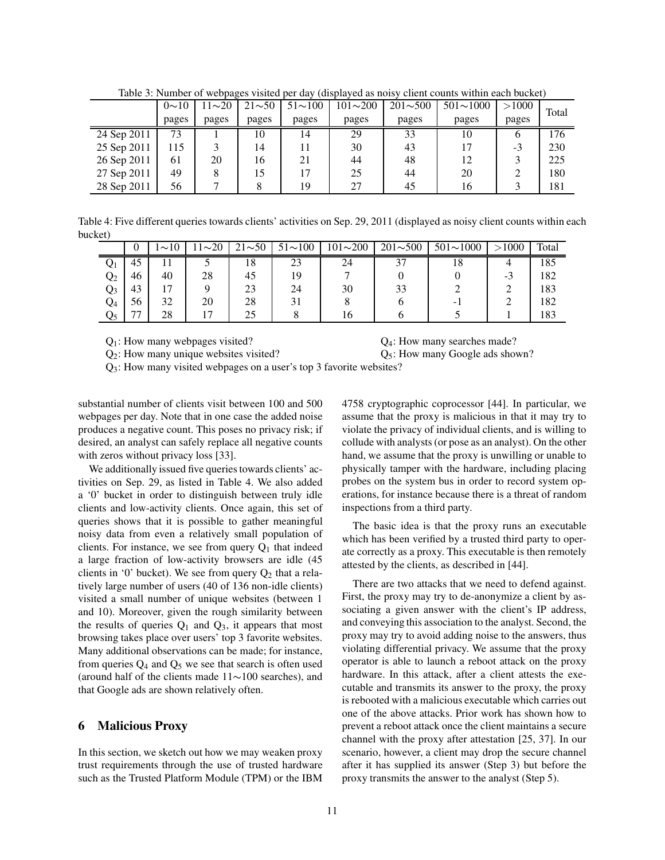|             | $0 \sim 10$ | $11 - 20$ | $21 - 50$ | $51{\sim}100$ | $101 \sim 200$ | $201 \sim 500$ | $501 \sim 1000$ | >1000        | Total |
|-------------|-------------|-----------|-----------|---------------|----------------|----------------|-----------------|--------------|-------|
|             | pages       | pages     | pages     | pages         | pages          | pages          | pages           | pages        |       |
| 24 Sep 2011 | 73          |           | 10        | 14            | 29             | 33             | 10              | <sub>0</sub> | 176   |
| 25 Sep 2011 | 115         |           | 14        |               | 30             | 43             | 17              | $-3$         | 230   |
| 26 Sep 2011 | 61          | 20        | 16        | 21            | 44             | 48             | 12              |              | 225   |
| 27 Sep 2011 | 49          |           | 15        |               | 25             | 44             | 20              | 2            | 180   |
| 28 Sep 2011 | 56          |           |           | 19            | 27             | 45             | 16              |              | 181   |

Table 3: Number of webpages visited per day (displayed as noisy client counts within each bucket)

Table 4: Five different queries towards clients' activities on Sep. 29, 2011 (displayed as noisy client counts within each bucket)

|                |    | $\sim$ 10 | $1\sim20$ | $21 \sim 50$ | $51 \sim 100$ | $101 \sim 200$ | $201 \sim 500$ | $501 \sim 1000$ | >1000    | Total |
|----------------|----|-----------|-----------|--------------|---------------|----------------|----------------|-----------------|----------|-------|
| Ų1             | 45 |           |           | 18           | 23            | 24             | 37             | 18              |          | 185   |
| $\mathrm{Q}_2$ | 46 | 40        | 28        | 45           | 19            |                |                |                 | ◠<br>- 3 | 182   |
| Q3             | 43 | . –       |           | 23           | 24            | 30             | 33             |                 |          | 183   |
| Q4             | 56 | 32        | 20        | 28           |               |                |                | - 1             |          | 182   |
| Q5             | 77 | 28        |           | 25           |               | l 6            |                |                 |          | 183   |

 $Q_1$ : How many webpages visited?  $Q_4$ : How many searches made?

 $Q_2$ : How many unique websites visited?  $Q_5$ : How many Google ads shown?

 $Q_3$ : How many visited webpages on a user's top 3 favorite websites?

substantial number of clients visit between 100 and 500 webpages per day. Note that in one case the added noise produces a negative count. This poses no privacy risk; if desired, an analyst can safely replace all negative counts with zeros without privacy loss [33].

We additionally issued five queries towards clients' activities on Sep. 29, as listed in Table 4. We also added a '0' bucket in order to distinguish between truly idle clients and low-activity clients. Once again, this set of queries shows that it is possible to gather meaningful noisy data from even a relatively small population of clients. For instance, we see from query  $Q_1$  that indeed a large fraction of low-activity browsers are idle (45 clients in '0' bucket). We see from query  $Q_2$  that a relatively large number of users (40 of 136 non-idle clients) visited a small number of unique websites (between 1 and 10). Moreover, given the rough similarity between the results of queries  $Q_1$  and  $Q_3$ , it appears that most browsing takes place over users' top 3 favorite websites. Many additional observations can be made; for instance, from queries  $Q_4$  and  $Q_5$  we see that search is often used (around half of the clients made 11∼100 searches), and that Google ads are shown relatively often.

## **6 Malicious Proxy**

In this section, we sketch out how we may weaken proxy trust requirements through the use of trusted hardware such as the Trusted Platform Module (TPM) or the IBM 4758 cryptographic coprocessor [44]. In particular, we assume that the proxy is malicious in that it may try to violate the privacy of individual clients, and is willing to collude with analysts (or pose as an analyst). On the other hand, we assume that the proxy is unwilling or unable to physically tamper with the hardware, including placing probes on the system bus in order to record system operations, for instance because there is a threat of random inspections from a third party.

The basic idea is that the proxy runs an executable which has been verified by a trusted third party to operate correctly as a proxy. This executable is then remotely attested by the clients, as described in [44].

There are two attacks that we need to defend against. First, the proxy may try to de-anonymize a client by associating a given answer with the client's IP address, and conveying this association to the analyst. Second, the proxy may try to avoid adding noise to the answers, thus violating differential privacy. We assume that the proxy operator is able to launch a reboot attack on the proxy hardware. In this attack, after a client attests the executable and transmits its answer to the proxy, the proxy is rebooted with a malicious executable which carries out one of the above attacks. Prior work has shown how to prevent a reboot attack once the client maintains a secure channel with the proxy after attestation [25, 37]. In our scenario, however, a client may drop the secure channel after it has supplied its answer (Step 3) but before the proxy transmits the answer to the analyst (Step 5).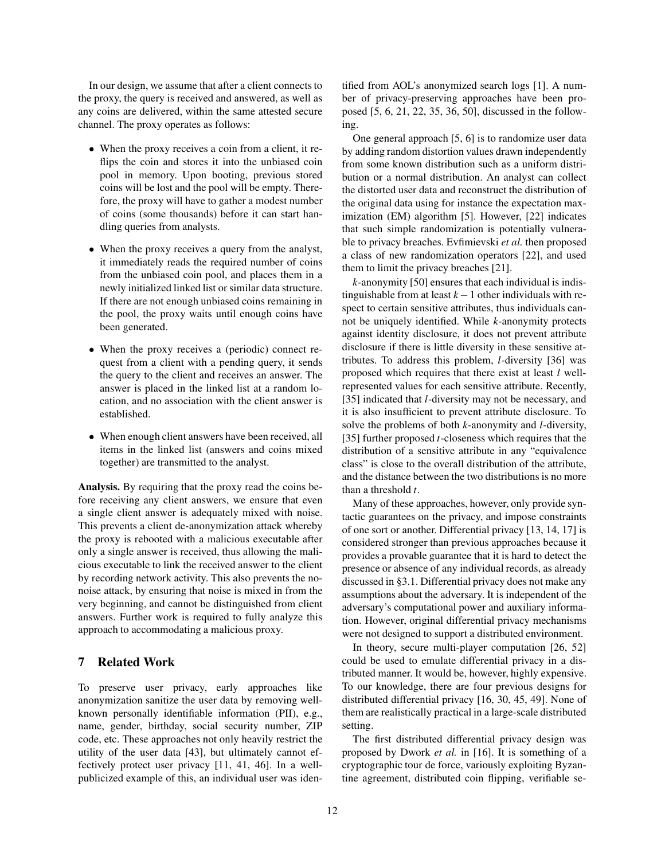In our design, we assume that after a client connects to the proxy, the query is received and answered, as well as any coins are delivered, within the same attested secure channel. The proxy operates as follows:

- When the proxy receives a coin from a client, it reflips the coin and stores it into the unbiased coin pool in memory. Upon booting, previous stored coins will be lost and the pool will be empty. Therefore, the proxy will have to gather a modest number of coins (some thousands) before it can start handling queries from analysts.
- When the proxy receives a query from the analyst, it immediately reads the required number of coins from the unbiased coin pool, and places them in a newly initialized linked list or similar data structure. If there are not enough unbiased coins remaining in the pool, the proxy waits until enough coins have been generated.
- When the proxy receives a (periodic) connect request from a client with a pending query, it sends the query to the client and receives an answer. The answer is placed in the linked list at a random location, and no association with the client answer is established.
- When enough client answers have been received, all items in the linked list (answers and coins mixed together) are transmitted to the analyst.

**Analysis.** By requiring that the proxy read the coins before receiving any client answers, we ensure that even a single client answer is adequately mixed with noise. This prevents a client de-anonymization attack whereby the proxy is rebooted with a malicious executable after only a single answer is received, thus allowing the malicious executable to link the received answer to the client by recording network activity. This also prevents the nonoise attack, by ensuring that noise is mixed in from the very beginning, and cannot be distinguished from client answers. Further work is required to fully analyze this approach to accommodating a malicious proxy.

# **7 Related Work**

To preserve user privacy, early approaches like anonymization sanitize the user data by removing wellknown personally identifiable information (PII), e.g., name, gender, birthday, social security number, ZIP code, etc. These approaches not only heavily restrict the utility of the user data [43], but ultimately cannot effectively protect user privacy [11, 41, 46]. In a wellpublicized example of this, an individual user was identified from AOL's anonymized search logs [1]. A number of privacy-preserving approaches have been proposed [5, 6, 21, 22, 35, 36, 50], discussed in the following.

One general approach [5, 6] is to randomize user data by adding random distortion values drawn independently from some known distribution such as a uniform distribution or a normal distribution. An analyst can collect the distorted user data and reconstruct the distribution of the original data using for instance the expectation maximization (EM) algorithm [5]. However, [22] indicates that such simple randomization is potentially vulnerable to privacy breaches. Evfimievski *et al.* then proposed a class of new randomization operators [22], and used them to limit the privacy breaches [21].

*k*-anonymity [50] ensures that each individual is indistinguishable from at least *k*−1 other individuals with respect to certain sensitive attributes, thus individuals cannot be uniquely identified. While *k*-anonymity protects against identity disclosure, it does not prevent attribute disclosure if there is little diversity in these sensitive attributes. To address this problem, *l*-diversity [36] was proposed which requires that there exist at least *l* wellrepresented values for each sensitive attribute. Recently, [35] indicated that *l*-diversity may not be necessary, and it is also insufficient to prevent attribute disclosure. To solve the problems of both *k*-anonymity and *l*-diversity, [35] further proposed *t*-closeness which requires that the distribution of a sensitive attribute in any "equivalence class" is close to the overall distribution of the attribute, and the distance between the two distributions is no more than a threshold *t*.

Many of these approaches, however, only provide syntactic guarantees on the privacy, and impose constraints of one sort or another. Differential privacy [13, 14, 17] is considered stronger than previous approaches because it provides a provable guarantee that it is hard to detect the presence or absence of any individual records, as already discussed in §3.1. Differential privacy does not make any assumptions about the adversary. It is independent of the adversary's computational power and auxiliary information. However, original differential privacy mechanisms were not designed to support a distributed environment.

In theory, secure multi-player computation [26, 52] could be used to emulate differential privacy in a distributed manner. It would be, however, highly expensive. To our knowledge, there are four previous designs for distributed differential privacy [16, 30, 45, 49]. None of them are realistically practical in a large-scale distributed setting.

The first distributed differential privacy design was proposed by Dwork *et al.* in [16]. It is something of a cryptographic tour de force, variously exploiting Byzantine agreement, distributed coin flipping, verifiable se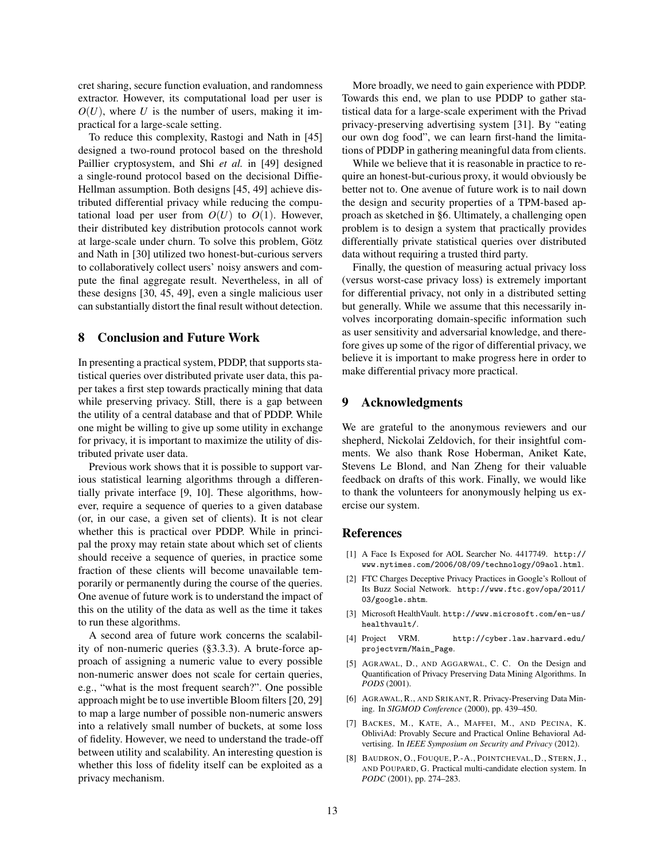cret sharing, secure function evaluation, and randomness extractor. However, its computational load per user is  $O(U)$ , where U is the number of users, making it impractical for a large-scale setting.

To reduce this complexity, Rastogi and Nath in [45] designed a two-round protocol based on the threshold Paillier cryptosystem, and Shi *et al.* in [49] designed a single-round protocol based on the decisional Diffie-Hellman assumption. Both designs [45, 49] achieve distributed differential privacy while reducing the computational load per user from  $O(U)$  to  $O(1)$ . However, their distributed key distribution protocols cannot work at large-scale under churn. To solve this problem, Götz and Nath in [30] utilized two honest-but-curious servers to collaboratively collect users' noisy answers and compute the final aggregate result. Nevertheless, in all of these designs [30, 45, 49], even a single malicious user can substantially distort the final result without detection.

## **8 Conclusion and Future Work**

In presenting a practical system, PDDP, that supports statistical queries over distributed private user data, this paper takes a first step towards practically mining that data while preserving privacy. Still, there is a gap between the utility of a central database and that of PDDP. While one might be willing to give up some utility in exchange for privacy, it is important to maximize the utility of distributed private user data.

Previous work shows that it is possible to support various statistical learning algorithms through a differentially private interface [9, 10]. These algorithms, however, require a sequence of queries to a given database (or, in our case, a given set of clients). It is not clear whether this is practical over PDDP. While in principal the proxy may retain state about which set of clients should receive a sequence of queries, in practice some fraction of these clients will become unavailable temporarily or permanently during the course of the queries. One avenue of future work is to understand the impact of this on the utility of the data as well as the time it takes to run these algorithms.

A second area of future work concerns the scalability of non-numeric queries (§3.3.3). A brute-force approach of assigning a numeric value to every possible non-numeric answer does not scale for certain queries, e.g., "what is the most frequent search?". One possible approach might be to use invertible Bloom filters [20, 29] to map a large number of possible non-numeric answers into a relatively small number of buckets, at some loss of fidelity. However, we need to understand the trade-off between utility and scalability. An interesting question is whether this loss of fidelity itself can be exploited as a privacy mechanism.

More broadly, we need to gain experience with PDDP. Towards this end, we plan to use PDDP to gather statistical data for a large-scale experiment with the Privad privacy-preserving advertising system [31]. By "eating our own dog food", we can learn first-hand the limitations of PDDP in gathering meaningful data from clients.

While we believe that it is reasonable in practice to require an honest-but-curious proxy, it would obviously be better not to. One avenue of future work is to nail down the design and security properties of a TPM-based approach as sketched in §6. Ultimately, a challenging open problem is to design a system that practically provides differentially private statistical queries over distributed data without requiring a trusted third party.

Finally, the question of measuring actual privacy loss (versus worst-case privacy loss) is extremely important for differential privacy, not only in a distributed setting but generally. While we assume that this necessarily involves incorporating domain-specific information such as user sensitivity and adversarial knowledge, and therefore gives up some of the rigor of differential privacy, we believe it is important to make progress here in order to make differential privacy more practical.

## **9 Acknowledgments**

We are grateful to the anonymous reviewers and our shepherd, Nickolai Zeldovich, for their insightful comments. We also thank Rose Hoberman, Aniket Kate, Stevens Le Blond, and Nan Zheng for their valuable feedback on drafts of this work. Finally, we would like to thank the volunteers for anonymously helping us exercise our system.

### **References**

- [1] A Face Is Exposed for AOL Searcher No. 4417749. http:// www.nytimes.com/2006/08/09/technology/09aol.html.
- [2] FTC Charges Deceptive Privacy Practices in Google's Rollout of Its Buzz Social Network. http://www.ftc.gov/opa/2011/ 03/google.shtm.
- [3] Microsoft HealthVault. http://www.microsoft.com/en-us/ healthvault/.
- [4] Project VRM. http://cyber.law.harvard.edu/ projectvrm/Main\_Page.
- [5] AGRAWAL, D., AND AGGARWAL, C. C. On the Design and Quantification of Privacy Preserving Data Mining Algorithms. In *PODS* (2001).
- [6] AGRAWAL, R., AND SRIKANT, R. Privacy-Preserving Data Mining. In *SIGMOD Conference* (2000), pp. 439–450.
- [7] BACKES, M., KATE, A., MAFFEI, M., AND PECINA, K. ObliviAd: Provably Secure and Practical Online Behavioral Advertising. In *IEEE Symposium on Security and Privacy* (2012).
- [8] BAUDRON, O., FOUQUE, P.-A., POINTCHEVAL, D., STERN, J., AND POUPARD, G. Practical multi-candidate election system. In *PODC* (2001), pp. 274–283.